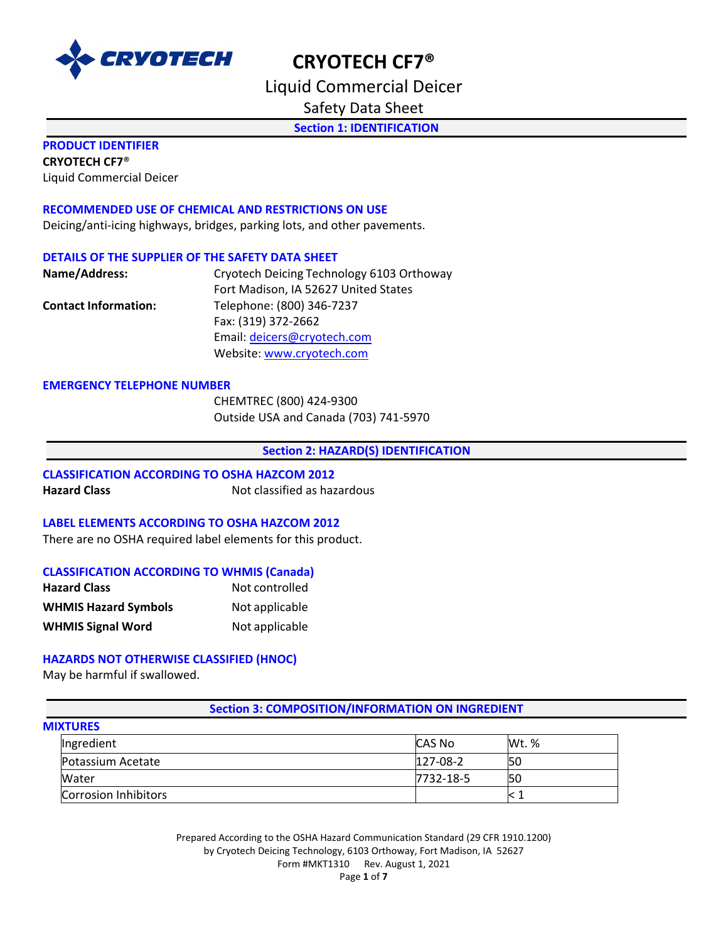

Liquid Commercial Deicer

Safety Data Sheet

**Section 1: IDENTIFICATION** 

### **PRODUCT IDENTIFIER**

**CRYOTECH CF7**®

Liquid Commercial Deicer

#### **RECOMMENDED USE OF CHEMICAL AND RESTRICTIONS ON USE**

Deicing/anti-icing highways, bridges, parking lots, and other pavements.

#### **DETAILS OF THE SUPPLIER OF THE SAFETY DATA SHEET**

| Name/Address:               | Cryotech Deicing Technology 6103 Orthoway |
|-----------------------------|-------------------------------------------|
|                             | Fort Madison, IA 52627 United States      |
| <b>Contact Information:</b> | Telephone: (800) 346-7237                 |
|                             | Fax: (319) 372-2662                       |
|                             | Email: deicers@cryotech.com               |
|                             | Website: www.cryotech.com                 |

#### **EMERGENCY TELEPHONE NUMBER**

CHEMTREC (800) 424-9300 Outside USA and Canada (703) 741-5970

#### **Section 2: HAZARD(S) IDENTIFICATION**

#### **CLASSIFICATION ACCORDING TO OSHA HAZCOM 2012**

**Hazard Class Not classified as hazardous** 

#### **LABEL ELEMENTS ACCORDING TO OSHA HAZCOM 2012**

There are no OSHA required label elements for this product.

#### **CLASSIFICATION ACCORDING TO WHMIS (Canada)**

| <b>Hazard Class</b>         | Not controlled |
|-----------------------------|----------------|
| <b>WHMIS Hazard Symbols</b> | Not applicable |
| <b>WHMIS Signal Word</b>    | Not applicable |

#### **HAZARDS NOT OTHERWISE CLASSIFIED (HNOC)**

May be harmful if swallowed.

### **Section 3: COMPOSITION/INFORMATION ON INGREDIENT**

| <b>MIXTURES</b> |  |
|-----------------|--|
|                 |  |

| Ingredient           | <b>ICAS No</b> | Wt. % |
|----------------------|----------------|-------|
| Potassium Acetate    | $127-08-2$     | 50    |
| Water                | 7732-18-5      | 50    |
| Corrosion Inhibitors |                |       |

Prepared According to the OSHA Hazard Communication Standard (29 CFR 1910.1200) by Cryotech Deicing Technology, 6103 Orthoway, Fort Madison, IA 52627 Form #MKT1310 Rev. August 1, 2021 Page **1** of **7**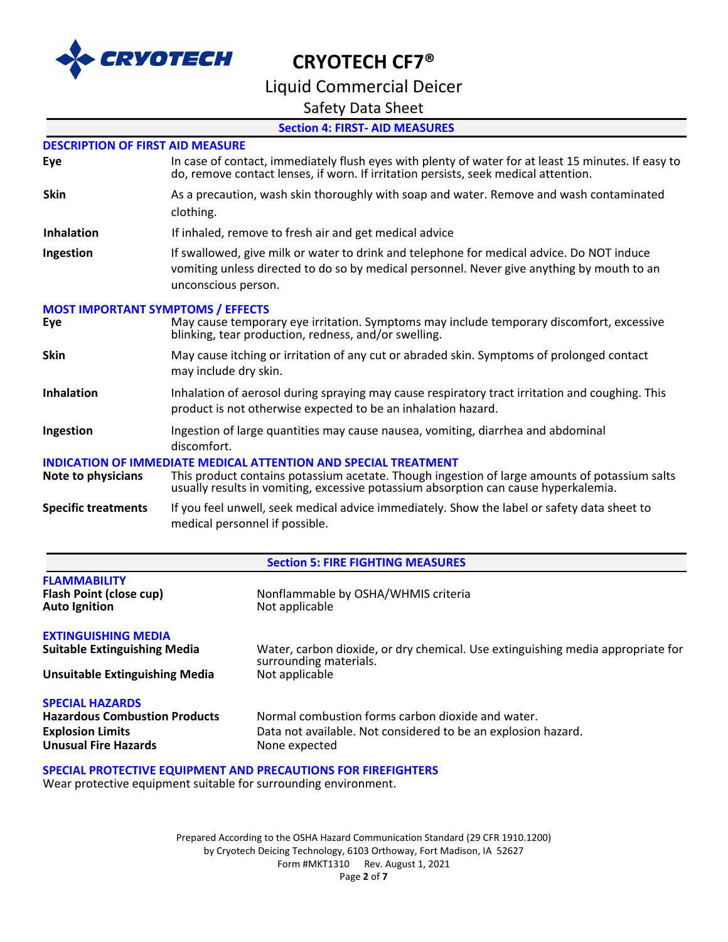

## Liquid Commercial Deicer

### Safety Data Sheet

### **Section 4: FIRST- AID MEASURES**

#### **DESCRIPTION OF FIRST AID MEASURE**

| Eye | In case of contact, immediately flush eyes with plenty of water for at least 15 minutes. If easy to |
|-----|-----------------------------------------------------------------------------------------------------|
|     | do, remove contact lenses, if worn. If irritation persists, seek medical attention.                 |
|     |                                                                                                     |

- **Skin** As a precaution, wash skin thoroughly with soap and water. Remove and wash contaminated clothing.
- **Inhalation** If inhaled, remove to fresh air and get medical advice
- **Ingestion** If swallowed, give milk or water to drink and telephone for medical advice. Do NOT induce vomiting unless directed to do so by medical personnel. Never give anything by mouth to an unconscious person.

### **MOST IMPORTANT SYMPTOMS / EFFECTS**

| Eye                          | May cause temporary eye irritation. Symptoms may include temporary discomfort, excessive<br>blinking, tear production, redness, and/or swelling.                                     |
|------------------------------|--------------------------------------------------------------------------------------------------------------------------------------------------------------------------------------|
| <b>Skin</b>                  | May cause itching or irritation of any cut or abraded skin. Symptoms of prolonged contact<br>may include dry skin.                                                                   |
| <b>Inhalation</b>            | Inhalation of aerosol during spraying may cause respiratory tract irritation and coughing. This<br>product is not otherwise expected to be an inhalation hazard.                     |
| Ingestion                    | Ingestion of large quantities may cause nausea, vomiting, diarrhea and abdominal<br>discomfort.                                                                                      |
| <b>INDICATION</b>            | OF IMMEDIATE MEDICAL ATTENTION AND SPECIAL TREATMENT                                                                                                                                 |
| Note to physicians           | This product contains potassium acetate. Though ingestion of large amounts of potassium salts<br>usually results in vomiting, excessive potassium absorption can cause hyperkalemia. |
| Caracters and administration | المقام والمستقلة والمستقل والمساوي والمستنقيات والمقطار والمستنف ومقرباتها والمتقادمين المستند المتناول والمستنقل                                                                    |

**Specific treatments** If you feel unwell, seek medical advice immediately. Show the label or safety data sheet to medical personnel if possible.

#### **Section 5: FIRE FIGHTING MEASURES**

| <b>FLAMMABILITY</b><br>Flash Point (close cup)<br><b>Auto Ignition</b> | Nonflammable by OSHA/WHMIS criteria<br>Not applicable                                                     |
|------------------------------------------------------------------------|-----------------------------------------------------------------------------------------------------------|
| <b>EXTINGUISHING MEDIA</b>                                             |                                                                                                           |
| <b>Suitable Extinguishing Media</b>                                    | Water, carbon dioxide, or dry chemical. Use extinguishing media appropriate for<br>surrounding materials. |
| <b>Unsuitable Extinguishing Media</b>                                  | Not applicable                                                                                            |
| <b>SPECIAL HAZARDS</b>                                                 |                                                                                                           |
| <b>Hazardous Combustion Products</b>                                   | Normal combustion forms carbon dioxide and water.                                                         |
| <b>Explosion Limits</b>                                                | Data not available. Not considered to be an explosion hazard.                                             |
| <b>Unusual Fire Hazards</b>                                            | None expected                                                                                             |

**SPECIAL PROTECTIVE EQUIPMENT AND PRECAUTIONS FOR FIREFIGHTERS**

Wear protective equipment suitable for surrounding environment.

Prepared According to the OSHA Hazard Communication Standard (29 CFR 1910.1200) by Cryotech Deicing Technology, 6103 Orthoway, Fort Madison, IA 52627 Form #MKT1310 Rev. August 1, 2021 Page **2** of **7**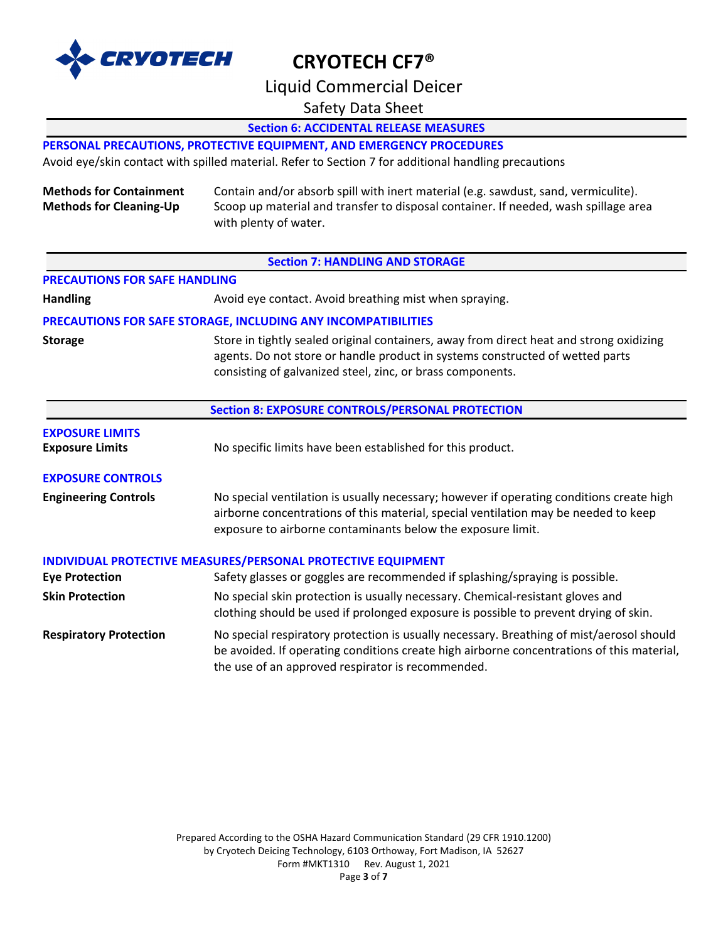

Liquid Commercial Deicer

Safety Data Sheet

**Section 6: ACCIDENTAL RELEASE MEASURES** 

### **PERSONAL PRECAUTIONS, PROTECTIVE EQUIPMENT, AND EMERGENCY PROCEDURES**

Avoid eye/skin contact with spilled material. Refer to Section 7 for additional handling precautions

**Methods for Containment** Contain and/or absorb spill with inert material (e.g. sawdust, sand, vermiculite). **Methods for Cleaning-Up** Scoop up material and transfer to disposal container. If needed, wash spillage area with plenty of water.

#### **PRECAUTIONS FOR SAFE HANDLING**

**Handling Avoid eye contact. Avoid breathing mist when spraying.** Avoid eye contact. Avoid breathing mist when spraying.

#### **PRECAUTIONS FOR SAFE STORAGE, INCLUDING ANY INCOMPATIBILITIES**

**Storage** Store in tightly sealed original containers, away from direct heat and strong oxidizing agents. Do not store or handle product in systems constructed of wetted parts consisting of galvanized steel, zinc, or brass components.

|                                                  | <b>Section 8: EXPOSURE CONTROLS/PERSONAL PROTECTION</b>                                                                                                                                                                                        |  |  |
|--------------------------------------------------|------------------------------------------------------------------------------------------------------------------------------------------------------------------------------------------------------------------------------------------------|--|--|
| <b>EXPOSURE LIMITS</b><br><b>Exposure Limits</b> | No specific limits have been established for this product.                                                                                                                                                                                     |  |  |
| <b>EXPOSURE CONTROLS</b>                         |                                                                                                                                                                                                                                                |  |  |
| <b>Engineering Controls</b>                      | No special ventilation is usually necessary; however if operating conditions create high<br>airborne concentrations of this material, special ventilation may be needed to keep<br>exposure to airborne contaminants below the exposure limit. |  |  |
|                                                  | INDIVIDUAL PROTECTIVE MEASURES/PERSONAL PROTECTIVE EQUIPMENT                                                                                                                                                                                   |  |  |
| <b>Eye Protection</b>                            | Safety glasses or goggles are recommended if splashing/spraying is possible.                                                                                                                                                                   |  |  |
| <b>Skin Protection</b>                           | No special skin protection is usually necessary. Chemical-resistant gloves and<br>clothing should be used if prolonged exposure is possible to prevent drying of skin.                                                                         |  |  |
| <b>Respiratory Protection</b>                    | No special respiratory protection is usually necessary. Breathing of mist/aerosol should<br>be avoided. If operating conditions create high airborne concentrations of this material,<br>the use of an approved respirator is recommended.     |  |  |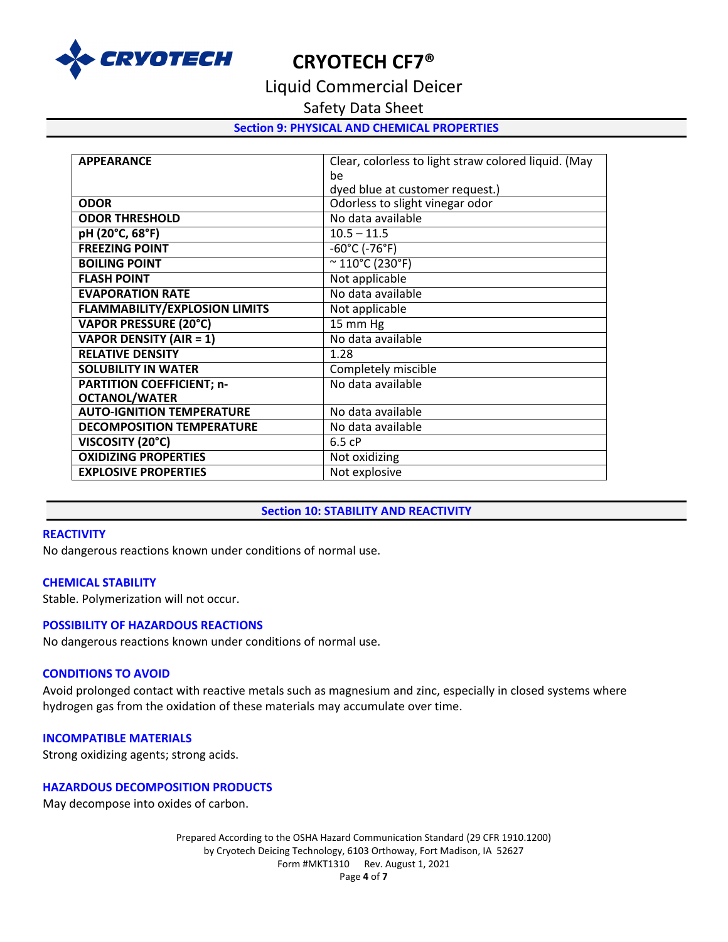

Liquid Commercial Deicer

Safety Data Sheet

#### **Section 9: PHYSICAL AND CHEMICAL PROPERTIES**

| <b>APPEARANCE</b>                    | Clear, colorless to light straw colored liquid. (May |
|--------------------------------------|------------------------------------------------------|
|                                      | be                                                   |
|                                      | dyed blue at customer request.)                      |
| <b>ODOR</b>                          | Odorless to slight vinegar odor                      |
| <b>ODOR THRESHOLD</b>                | No data available                                    |
| pH (20°C, 68°F)                      | $10.5 - 11.5$                                        |
| <b>FREEZING POINT</b>                | $-60^{\circ}$ C (-76 $^{\circ}$ F)                   |
| <b>BOILING POINT</b>                 | $~^{\sim}$ 110°C (230°F)                             |
| <b>FLASH POINT</b>                   | Not applicable                                       |
| <b>EVAPORATION RATE</b>              | No data available                                    |
| <b>FLAMMABILITY/EXPLOSION LIMITS</b> | Not applicable                                       |
| <b>VAPOR PRESSURE (20°C)</b>         | 15 mm Hg                                             |
| <b>VAPOR DENSITY (AIR = 1)</b>       | No data available                                    |
| <b>RELATIVE DENSITY</b>              | 1.28                                                 |
| <b>SOLUBILITY IN WATER</b>           | Completely miscible                                  |
| <b>PARTITION COEFFICIENT; n-</b>     | No data available                                    |
| <b>OCTANOL/WATER</b>                 |                                                      |
| <b>AUTO-IGNITION TEMPERATURE</b>     | No data available                                    |
| <b>DECOMPOSITION TEMPERATURE</b>     | No data available                                    |
| VISCOSITY (20°C)                     | 6.5cP                                                |
| <b>OXIDIZING PROPERTIES</b>          | Not oxidizing                                        |
| <b>EXPLOSIVE PROPERTIES</b>          | Not explosive                                        |

#### **Section 10: STABILITY AND REACTIVITY**

#### **REACTIVITY**

No dangerous reactions known under conditions of normal use.

#### **CHEMICAL STABILITY**

Stable. Polymerization will not occur.

#### **POSSIBILITY OF HAZARDOUS REACTIONS**

No dangerous reactions known under conditions of normal use.

### **CONDITIONS TO AVOID**

Avoid prolonged contact with reactive metals such as magnesium and zinc, especially in closed systems where hydrogen gas from the oxidation of these materials may accumulate over time.

#### **INCOMPATIBLE MATERIALS**

Strong oxidizing agents; strong acids.

#### **HAZARDOUS DECOMPOSITION PRODUCTS**

May decompose into oxides of carbon.

Prepared According to the OSHA Hazard Communication Standard (29 CFR 1910.1200) by Cryotech Deicing Technology, 6103 Orthoway, Fort Madison, IA 52627 Form #MKT1310 Rev. August 1, 2021 Page **4** of **7**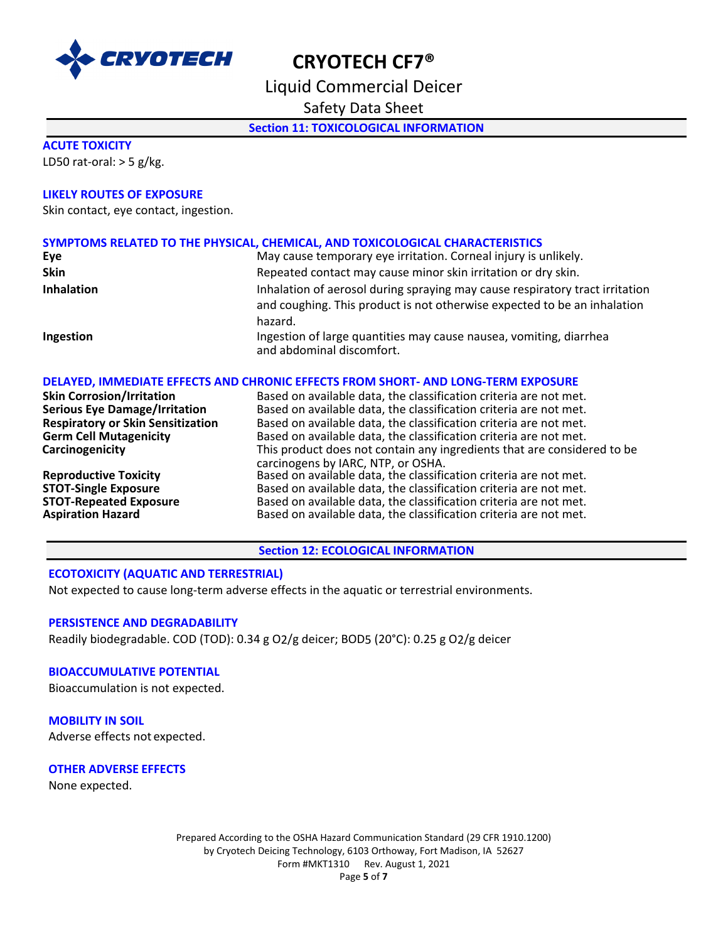

Liquid Commercial Deicer

Safety Data Sheet

**Section 11: TOXICOLOGICAL INFORMATION** 

#### **ACUTE TOXICITY**

LD50 rat-oral:  $>$  5 g/kg.

#### **LIKELY ROUTES OF EXPOSURE**

Skin contact, eye contact, ingestion.

#### **SYMPTOMS RELATED TO THE PHYSICAL, CHEMICAL, AND TOXICOLOGICAL CHARACTERISTICS**

| Eye               | May cause temporary eye irritation. Corneal injury is unlikely.                                                                                                     |  |
|-------------------|---------------------------------------------------------------------------------------------------------------------------------------------------------------------|--|
| <b>Skin</b>       | Repeated contact may cause minor skin irritation or dry skin.                                                                                                       |  |
| <b>Inhalation</b> | Inhalation of aerosol during spraying may cause respiratory tract irritation<br>and coughing. This product is not otherwise expected to be an inhalation<br>hazard. |  |
| Ingestion         | Ingestion of large quantities may cause nausea, vomiting, diarrhea<br>and abdominal discomfort.                                                                     |  |

#### **DELAYED, IMMEDIATE EFFECTS AND CHRONIC EFFECTS FROM SHORT- AND LONG-TERM EXPOSURE**

| Based on available data, the classification criteria are not met.                                                                      |
|----------------------------------------------------------------------------------------------------------------------------------------|
| Based on available data, the classification criteria are not met.                                                                      |
| Based on available data, the classification criteria are not met.                                                                      |
| Based on available data, the classification criteria are not met.                                                                      |
| This product does not contain any ingredients that are considered to be<br>carcinogens by IARC, NTP, or OSHA.                          |
| Based on available data, the classification criteria are not met.                                                                      |
| Based on available data, the classification criteria are not met.                                                                      |
| Based on available data, the classification criteria are not met.<br>Based on available data, the classification criteria are not met. |
|                                                                                                                                        |

**Section 12: ECOLOGICAL INFORMATION** 

#### **ECOTOXICITY (AQUATIC AND TERRESTRIAL)**

Not expected to cause long-term adverse effects in the aquatic or terrestrial environments.

#### **PERSISTENCE AND DEGRADABILITY**

Readily biodegradable. COD (TOD): 0.34 g O2/g deicer; BOD5 (20°C): 0.25 g O2/g deicer

#### **BIOACCUMULATIVE POTENTIAL**

Bioaccumulation is not expected.

#### **MOBILITY IN SOIL**

Adverse effects not expected.

#### **OTHER ADVERSE EFFECTS**

None expected.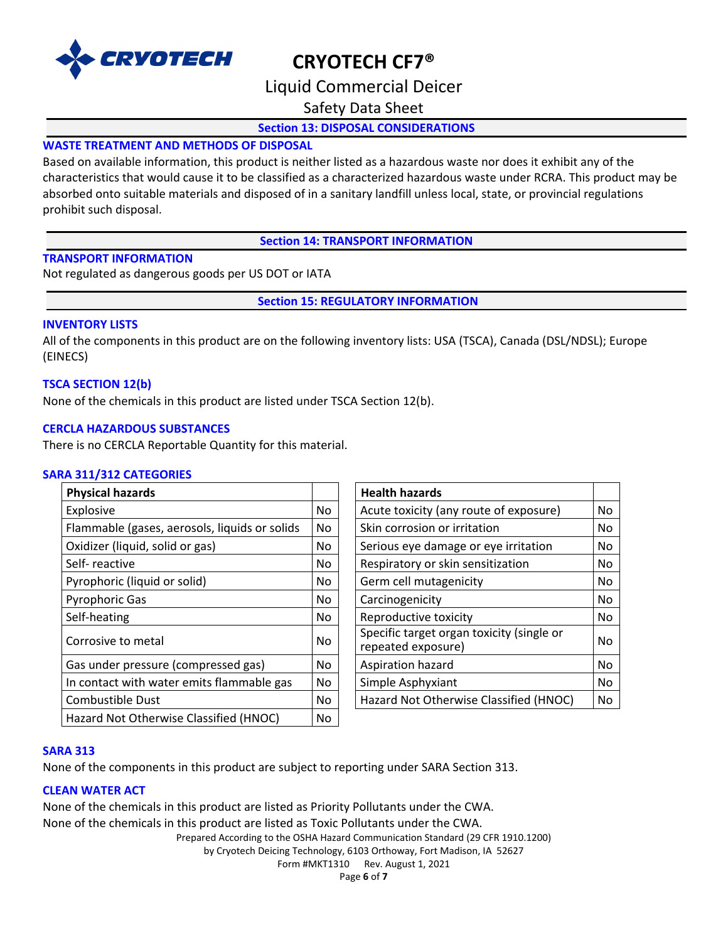

## Liquid Commercial Deicer

Safety Data Sheet

### **Section 13: DISPOSAL CONSIDERATIONS**

### **WASTE TREATMENT AND METHODS OF DISPOSAL**

Based on available information, this product is neither listed as a hazardous waste nor does it exhibit any of the characteristics that would cause it to be classified as a characterized hazardous waste under RCRA. This product may be absorbed onto suitable materials and disposed of in a sanitary landfill unless local, state, or provincial regulations prohibit such disposal.

**Section 14: TRANSPORT INFORMATION**

#### **TRANSPORT INFORMATION**

Not regulated as dangerous goods per US DOT or IATA

**Section 15: REGULATORY INFORMATION**

#### **INVENTORY LISTS**

All of the components in this product are on the following inventory lists: USA (TSCA), Canada (DSL/NDSL); Europe (EINECS)

#### **TSCA SECTION 12(b)**

None of the chemicals in this product are listed under TSCA Section 12(b).

#### **CERCLA HAZARDOUS SUBSTANCES**

There is no CERCLA Reportable Quantity for this material.

#### **SARA 311/312 CATEGORIES**

| <b>Physical hazards</b>                       |     | <b>Health hazards</b>                                           |    |
|-----------------------------------------------|-----|-----------------------------------------------------------------|----|
| Explosive                                     | No. | Acute toxicity (any route of exposure)                          | No |
| Flammable (gases, aerosols, liquids or solids | No. | Skin corrosion or irritation                                    | No |
| Oxidizer (liquid, solid or gas)               | No. | Serious eye damage or eye irritation                            | No |
| Self-reactive                                 | No. | Respiratory or skin sensitization                               | No |
| Pyrophoric (liquid or solid)                  | No  | Germ cell mutagenicity                                          | No |
| Pyrophoric Gas                                | No. | Carcinogenicity                                                 | No |
| Self-heating                                  | No. | Reproductive toxicity                                           | No |
| Corrosive to metal                            | No. | Specific target organ toxicity (single or<br>repeated exposure) | No |
| Gas under pressure (compressed gas)           | No. | Aspiration hazard                                               | No |
| In contact with water emits flammable gas     | No  | Simple Asphyxiant                                               | No |
| Combustible Dust                              | No. | Hazard Not Otherwise Classified (HNOC)                          | No |
| Hazard Not Otherwise Classified (HNOC)        | No  |                                                                 |    |

| <b>Health hazards</b>                                           |    |
|-----------------------------------------------------------------|----|
| Acute toxicity (any route of exposure)                          |    |
| Skin corrosion or irritation                                    |    |
| Serious eye damage or eye irritation                            |    |
| Respiratory or skin sensitization                               |    |
| Germ cell mutagenicity                                          |    |
| Carcinogenicity                                                 |    |
| Reproductive toxicity                                           |    |
| Specific target organ toxicity (single or<br>repeated exposure) | No |
| Aspiration hazard                                               |    |
| Simple Asphyxiant                                               |    |
| Hazard Not Otherwise Classified (HNOC)                          |    |

#### **SARA 313**

None of the components in this product are subject to reporting under SARA Section 313.

### **CLEAN WATER ACT**

Prepared According to the OSHA Hazard Communication Standard (29 CFR 1910.1200) None of the chemicals in this product are listed as Priority Pollutants under the CWA. None of the chemicals in this product are listed as Toxic Pollutants under the CWA.

by Cryotech Deicing Technology, 6103 Orthoway, Fort Madison, IA 52627

Form #MKT1310 Rev. August 1, 2021